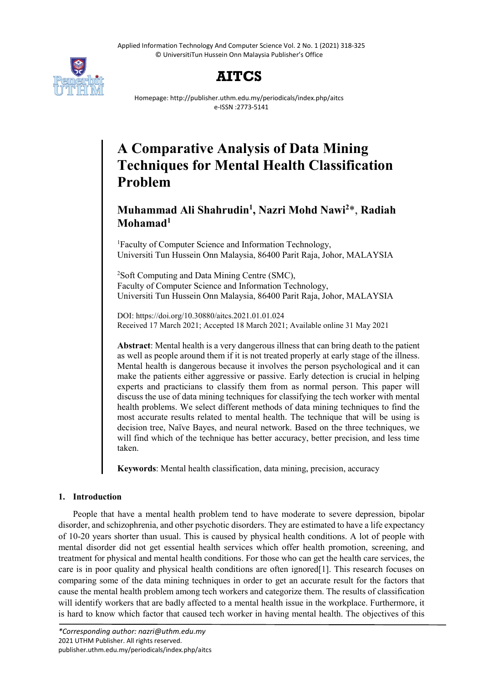Applied Information Technology And Computer Science Vol. 2 No. 1 (2021) 318-325 © UniversitiTun Hussein Onn Malaysia Publisher's Office



# **AITCS**

Homepage: http://publisher.uthm.edu.my/periodicals/index.php/aitcs e-ISSN :2773-5141

# **A Comparative Analysis of Data Mining Techniques for Mental Health Classification Problem**

# **Muhammad Ali Shahrudin1 , Nazri Mohd Nawi2** \*, **Radiah Mohamad1**

1 Faculty of Computer Science and Information Technology, Universiti Tun Hussein Onn Malaysia, 86400 Parit Raja, Johor, MALAYSIA

<sup>2</sup>Soft Computing and Data Mining Centre (SMC), Faculty of Computer Science and Information Technology, Universiti Tun Hussein Onn Malaysia, 86400 Parit Raja, Johor, MALAYSIA

DOI: https://doi.org/10.30880/aitcs.2021.01.01.024 Received 17 March 2021; Accepted 18 March 2021; Available online 31 May 2021

**Abstract**: Mental health is a very dangerous illness that can bring death to the patient as well as people around them if it is not treated properly at early stage of the illness. Mental health is dangerous because it involves the person psychological and it can make the patients either aggressive or passive. Early detection is crucial in helping experts and practicians to classify them from as normal person. This paper will discuss the use of data mining techniques for classifying the tech worker with mental health problems. We select different methods of data mining techniques to find the most accurate results related to mental health. The technique that will be using is decision tree, Naïve Bayes, and neural network. Based on the three techniques, we will find which of the technique has better accuracy, better precision, and less time taken.

**Keywords**: Mental health classification, data mining, precision, accuracy

# **1. Introduction**

People that have a mental health problem tend to have moderate to severe depression, bipolar disorder, and schizophrenia, and other psychotic disorders. They are estimated to have a life expectancy of 10-20 years shorter than usual. This is caused by physical health conditions. A lot of people with mental disorder did not get essential health services which offer health promotion, screening, and treatment for physical and mental health conditions. For those who can get the health care services, the care is in poor quality and physical health conditions are often ignored[1]. This research focuses on comparing some of the data mining techniques in order to get an accurate result for the factors that cause the mental health problem among tech workers and categorize them. The results of classification will identify workers that are badly affected to a mental health issue in the workplace. Furthermore, it is hard to know which factor that caused tech worker in having mental health. The objectives of this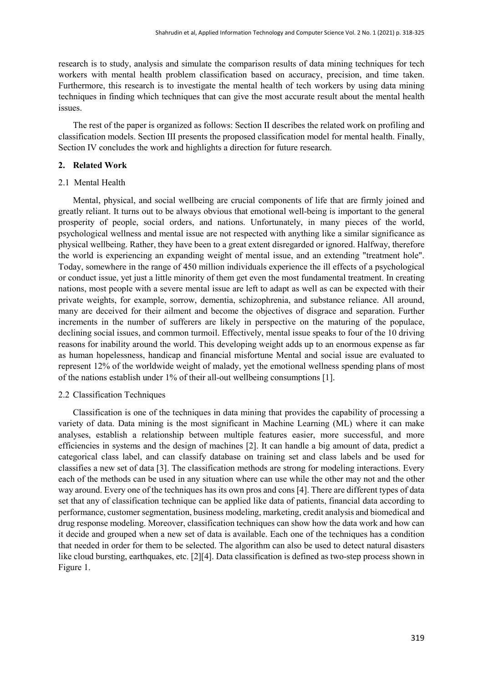research is to study, analysis and simulate the comparison results of data mining techniques for tech workers with mental health problem classification based on accuracy, precision, and time taken. Furthermore, this research is to investigate the mental health of tech workers by using data mining techniques in finding which techniques that can give the most accurate result about the mental health issues.

The rest of the paper is organized as follows: Section II describes the related work on profiling and classification models. Section III presents the proposed classification model for mental health. Finally, Section IV concludes the work and highlights a direction for future research.

#### **2. Related Work**

#### 2.1 Mental Health

Mental, physical, and social wellbeing are crucial components of life that are firmly joined and greatly reliant. It turns out to be always obvious that emotional well-being is important to the general prosperity of people, social orders, and nations. Unfortunately, in many pieces of the world, psychological wellness and mental issue are not respected with anything like a similar significance as physical wellbeing. Rather, they have been to a great extent disregarded or ignored. Halfway, therefore the world is experiencing an expanding weight of mental issue, and an extending "treatment hole". Today, somewhere in the range of 450 million individuals experience the ill effects of a psychological or conduct issue, yet just a little minority of them get even the most fundamental treatment. In creating nations, most people with a severe mental issue are left to adapt as well as can be expected with their private weights, for example, sorrow, dementia, schizophrenia, and substance reliance. All around, many are deceived for their ailment and become the objectives of disgrace and separation. Further increments in the number of sufferers are likely in perspective on the maturing of the populace, declining social issues, and common turmoil. Effectively, mental issue speaks to four of the 10 driving reasons for inability around the world. This developing weight adds up to an enormous expense as far as human hopelessness, handicap and financial misfortune Mental and social issue are evaluated to represent 12% of the worldwide weight of malady, yet the emotional wellness spending plans of most of the nations establish under 1% of their all-out wellbeing consumptions [1].

#### 2.2 Classification Techniques

Classification is one of the techniques in data mining that provides the capability of processing a variety of data. Data mining is the most significant in Machine Learning (ML) where it can make analyses, establish a relationship between multiple features easier, more successful, and more efficiencies in systems and the design of machines [2]. It can handle a big amount of data, predict a categorical class label, and can classify database on training set and class labels and be used for classifies a new set of data [3]. The classification methods are strong for modeling interactions. Every each of the methods can be used in any situation where can use while the other may not and the other way around. Every one of the techniques has its own pros and cons [4]. There are different types of data set that any of classification technique can be applied like data of patients, financial data according to performance, customer segmentation, business modeling, marketing, credit analysis and biomedical and drug response modeling. Moreover, classification techniques can show how the data work and how can it decide and grouped when a new set of data is available. Each one of the techniques has a condition that needed in order for them to be selected. The algorithm can also be used to detect natural disasters like cloud bursting, earthquakes, etc. [2][4]. Data classification is defined as two-step process shown in Figure 1.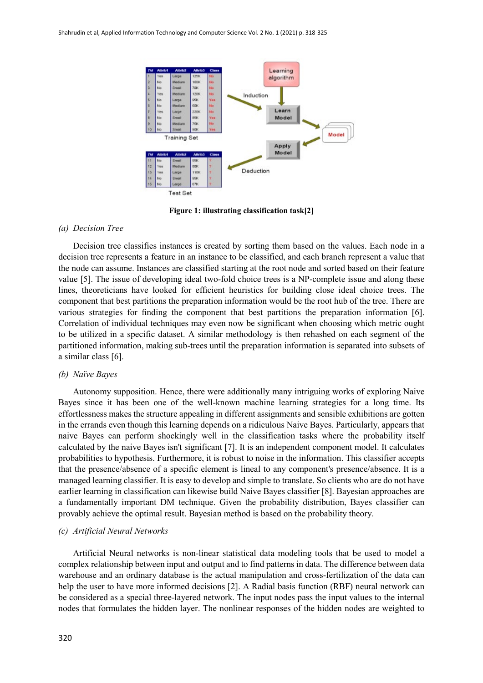

**Figure 1: illustrating classification task[2]**

#### *(a) Decision Tree*

Decision tree classifies instances is created by sorting them based on the values. Each node in a decision tree represents a feature in an instance to be classified, and each branch represent a value that the node can assume. Instances are classified starting at the root node and sorted based on their feature value [5]. The issue of developing ideal two-fold choice trees is a NP-complete issue and along these lines, theoreticians have looked for efficient heuristics for building close ideal choice trees. The component that best partitions the preparation information would be the root hub of the tree. There are various strategies for finding the component that best partitions the preparation information [6]. Correlation of individual techniques may even now be significant when choosing which metric ought to be utilized in a specific dataset. A similar methodology is then rehashed on each segment of the partitioned information, making sub-trees until the preparation information is separated into subsets of a similar class [6].

### *(b) Naïve Bayes*

Autonomy supposition. Hence, there were additionally many intriguing works of exploring Naive Bayes since it has been one of the well-known machine learning strategies for a long time. Its effortlessness makes the structure appealing in different assignments and sensible exhibitions are gotten in the errands even though this learning depends on a ridiculous Naive Bayes. Particularly, appears that naive Bayes can perform shockingly well in the classification tasks where the probability itself calculated by the naive Bayes isn't significant [7]. It is an independent component model. It calculates probabilities to hypothesis. Furthermore, it is robust to noise in the information. This classifier accepts that the presence/absence of a specific element is lineal to any component's presence/absence. It is a managed learning classifier. It is easy to develop and simple to translate. So clients who are do not have earlier learning in classification can likewise build Naive Bayes classifier [8]. Bayesian approaches are a fundamentally important DM technique. Given the probability distribution, Bayes classifier can provably achieve the optimal result. Bayesian method is based on the probability theory.

## *(c) Artificial Neural Networks*

Artificial Neural networks is non-linear statistical data modeling tools that be used to model a complex relationship between input and output and to find patterns in data. The difference between data warehouse and an ordinary database is the actual manipulation and cross-fertilization of the data can help the user to have more informed decisions [2]. A Radial basis function (RBF) neural network can be considered as a special three-layered network. The input nodes pass the input values to the internal nodes that formulates the hidden layer. The nonlinear responses of the hidden nodes are weighted to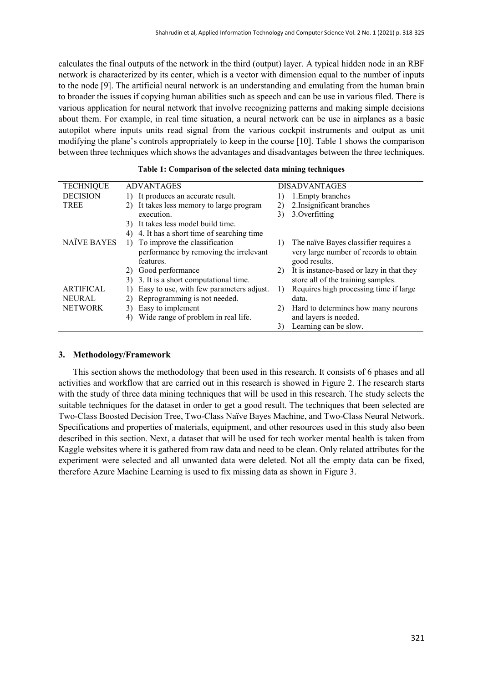calculates the final outputs of the network in the third (output) layer. A typical hidden node in an RBF network is characterized by its center, which is a vector with dimension equal to the number of inputs to the node [9]. The artificial neural network is an understanding and emulating from the human brain to broader the issues if copying human abilities such as speech and can be use in various filed. There is various application for neural network that involve recognizing patterns and making simple decisions about them. For example, in real time situation, a neural network can be use in airplanes as a basic autopilot where inputs units read signal from the various cockpit instruments and output as unit modifying the plane's controls appropriately to keep in the course [10]. Table 1 shows the comparison between three techniques which shows the advantages and disadvantages between the three techniques.

| <b>TECHNIQUE</b>   | <b>ADVANTAGES</b>                              | <b>DISADVANTAGES</b>                            |
|--------------------|------------------------------------------------|-------------------------------------------------|
| <b>DECISION</b>    | 1) It produces an accurate result.             | 1. Empty branches<br>1)                         |
| <b>TREE</b>        | It takes less memory to large program<br>2)    | 2. Insignificant branches<br>2)                 |
|                    | execution.                                     | 3. Overfitting<br>3)                            |
|                    | It takes less model build time.<br>3)          |                                                 |
|                    | 4. It has a short time of searching time<br>4) |                                                 |
| <b>NAÏVE BAYES</b> | To improve the classification                  | The naïve Bayes classifier requires a<br>1)     |
|                    | performance by removing the irrelevant         | very large number of records to obtain          |
|                    | features.                                      | good results.                                   |
|                    | Good performance<br>2)                         | It is instance-based or lazy in that they<br>2) |
|                    | 3. It is a short computational time.<br>3)     | store all of the training samples.              |
| <b>ARTIFICAL</b>   | Easy to use, with few parameters adjust.       | Requires high processing time if large          |
| <b>NEURAL</b>      | Reprogramming is not needed.<br>2)             | data.                                           |
| <b>NETWORK</b>     | Easy to implement<br>3)                        | Hard to determines how many neurons<br>2)       |
|                    | Wide range of problem in real life.<br>4)      | and layers is needed.                           |
|                    |                                                | Learning can be slow.<br>3)                     |

#### **Table 1: Comparison of the selected data mining techniques**

### **3. Methodology/Framework**

This section shows the methodology that been used in this research. It consists of 6 phases and all activities and workflow that are carried out in this research is showed in Figure 2. The research starts with the study of three data mining techniques that will be used in this research. The study selects the suitable techniques for the dataset in order to get a good result. The techniques that been selected are Two-Class Boosted Decision Tree, Two-Class Naïve Bayes Machine, and Two-Class Neural Network. Specifications and properties of materials, equipment, and other resources used in this study also been described in this section. Next, a dataset that will be used for tech worker mental health is taken from Kaggle websites where it is gathered from raw data and need to be clean. Only related attributes for the experiment were selected and all unwanted data were deleted. Not all the empty data can be fixed, therefore Azure Machine Learning is used to fix missing data as shown in Figure 3.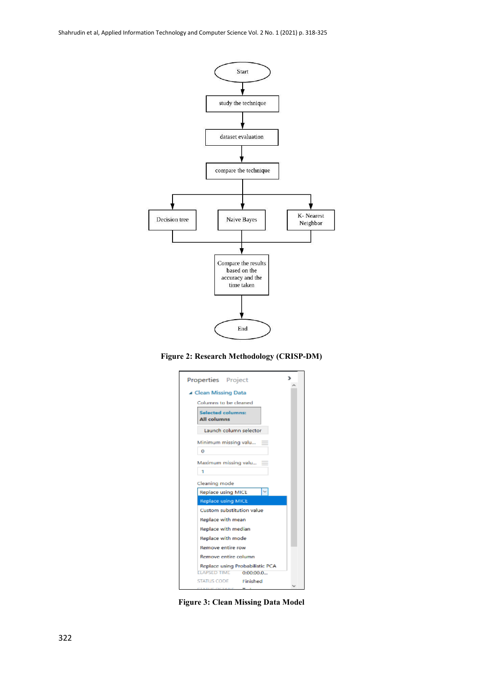

**Figure 2: Research Methodology (CRISP-DM)**



**Figure 3: Clean Missing Data Model**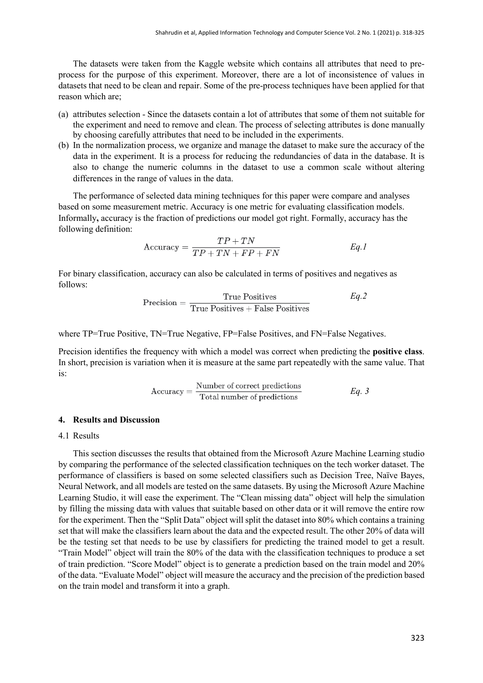The datasets were taken from the Kaggle website which contains all attributes that need to preprocess for the purpose of this experiment. Moreover, there are a lot of inconsistence of values in datasets that need to be clean and repair. Some of the pre-process techniques have been applied for that reason which are;

- (a) attributes selection Since the datasets contain a lot of attributes that some of them not suitable for the experiment and need to remove and clean. The process of selecting attributes is done manually by choosing carefully attributes that need to be included in the experiments.
- (b) In the normalization process, we organize and manage the dataset to make sure the accuracy of the data in the experiment. It is a process for reducing the redundancies of data in the database. It is also to change the numeric columns in the dataset to use a common scale without altering differences in the range of values in the data.

The performance of selected data mining techniques for this paper were compare and analyses based on some measurement metric. Accuracy is one metric for evaluating classification models. Informally**,** accuracy is the fraction of predictions our model got right. Formally, accuracy has the following definition:

$$
Accuracy = \frac{TP + TN}{TP + TN + FP + FN}
$$
 Eq.1

For binary classification, accuracy can also be calculated in terms of positives and negatives as follows:

$$
\text{Precision} = \frac{\text{True Positives}}{\text{True Positives} + \text{False Positives}} \qquad \qquad Eq.2
$$

where TP=True Positive, TN=True Negative, FP=False Positives, and FN=False Negatives.

Precision identifies the frequency with which a model was correct when predicting the **positive class**. In short, precision is variation when it is measure at the same part repeatedly with the same value. That is:

$$
Accuracy = \frac{Number of correct predictions}{Total number of predictions}
$$
 *Eq. 3*

# **4. Results and Discussion**

## 4.1 Results

This section discusses the results that obtained from the Microsoft Azure Machine Learning studio by comparing the performance of the selected classification techniques on the tech worker dataset. The performance of classifiers is based on some selected classifiers such as Decision Tree, Naïve Bayes, Neural Network, and all models are tested on the same datasets. By using the Microsoft Azure Machine Learning Studio, it will ease the experiment. The "Clean missing data" object will help the simulation by filling the missing data with values that suitable based on other data or it will remove the entire row for the experiment. Then the "Split Data" object will split the dataset into 80% which contains a training set that will make the classifiers learn about the data and the expected result. The other 20% of data will be the testing set that needs to be use by classifiers for predicting the trained model to get a result. "Train Model" object will train the 80% of the data with the classification techniques to produce a set of train prediction. "Score Model" object is to generate a prediction based on the train model and 20% of the data. "Evaluate Model" object will measure the accuracy and the precision of the prediction based on the train model and transform it into a graph.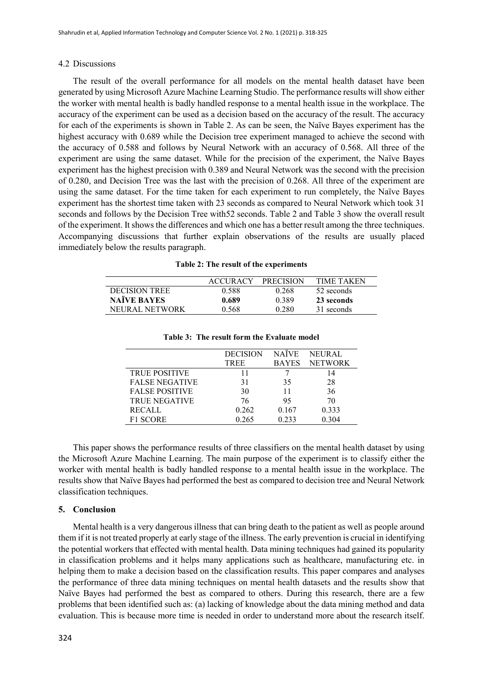#### 4.2 Discussions

The result of the overall performance for all models on the mental health dataset have been generated by using Microsoft Azure Machine Learning Studio. The performance results will show either the worker with mental health is badly handled response to a mental health issue in the workplace. The accuracy of the experiment can be used as a decision based on the accuracy of the result. The accuracy for each of the experiments is shown in Table 2. As can be seen, the Naïve Bayes experiment has the highest accuracy with 0.689 while the Decision tree experiment managed to achieve the second with the accuracy of 0.588 and follows by Neural Network with an accuracy of 0.568. All three of the experiment are using the same dataset. While for the precision of the experiment, the Naïve Bayes experiment has the highest precision with 0.389 and Neural Network was the second with the precision of 0.280, and Decision Tree was the last with the precision of 0.268. All three of the experiment are using the same dataset. For the time taken for each experiment to run completely, the Naïve Bayes experiment has the shortest time taken with 23 seconds as compared to Neural Network which took 31 seconds and follows by the Decision Tree with52 seconds. Table 2 and Table 3 show the overall result of the experiment. It shows the differences and which one has a better result among the three techniques. Accompanying discussions that further explain observations of the results are usually placed immediately below the results paragraph.

|  |  |  |  | Table 2: The result of the experiments |
|--|--|--|--|----------------------------------------|
|--|--|--|--|----------------------------------------|

|                    | ACCITRACV | <b>PRECISION</b> | TIME TAKEN |
|--------------------|-----------|------------------|------------|
| DECISION TREE      | 0.588     | 0.268            | 52 seconds |
| <b>NAÏVE BAYES</b> | 0.689     | 0.389            | 23 seconds |
| NEUR AL NETWORK    | 0.568     | 0.280            | 31 seconds |

|                       | <b>DECISION</b> | NAÏVE        | <b>NEURAL</b>  |
|-----------------------|-----------------|--------------|----------------|
|                       | TREE            | <b>BAYES</b> | <b>NETWORK</b> |
| <b>TRUE POSITIVE</b>  |                 |              | 14             |
| <b>FALSE NEGATIVE</b> | 31              | 35           | 28             |
| <b>FALSE POSITIVE</b> | 30              | 11           | 36             |
| <b>TRUE NEGATIVE</b>  | 76              | 95           | 70             |
| <b>RECALL</b>         | 0.262           | 0.167        | 0.333          |
| <b>F1 SCORE</b>       | 0.265           | 0.233        | 0.304          |

**Table 3: The result form the Evaluate model**

This paper shows the performance results of three classifiers on the mental health dataset by using the Microsoft Azure Machine Learning. The main purpose of the experiment is to classify either the worker with mental health is badly handled response to a mental health issue in the workplace. The results show that Naïve Bayes had performed the best as compared to decision tree and Neural Network classification techniques.

# **5. Conclusion**

Mental health is a very dangerous illness that can bring death to the patient as well as people around them if it is not treated properly at early stage of the illness. The early prevention is crucial in identifying the potential workers that effected with mental health. Data mining techniques had gained its popularity in classification problems and it helps many applications such as healthcare, manufacturing etc. in helping them to make a decision based on the classification results. This paper compares and analyses the performance of three data mining techniques on mental health datasets and the results show that Naïve Bayes had performed the best as compared to others. During this research, there are a few problems that been identified such as: (a) lacking of knowledge about the data mining method and data evaluation. This is because more time is needed in order to understand more about the research itself.